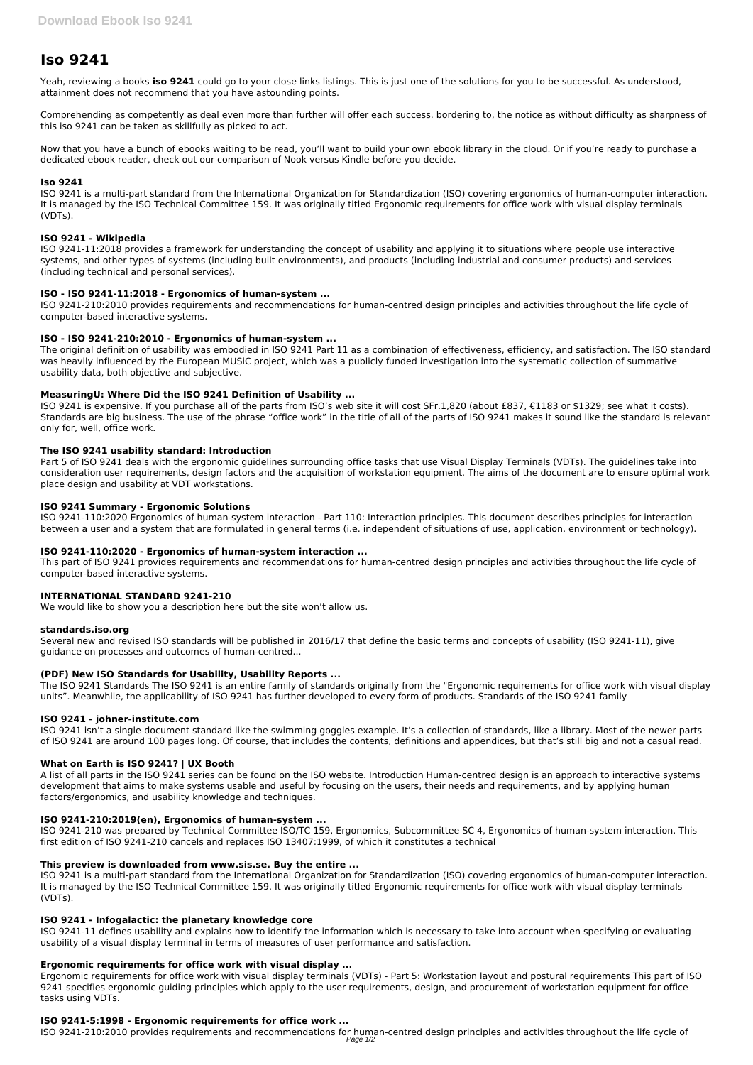# **Iso 9241**

Yeah, reviewing a books **iso 9241** could go to your close links listings. This is just one of the solutions for you to be successful. As understood, attainment does not recommend that you have astounding points.

Comprehending as competently as deal even more than further will offer each success. bordering to, the notice as without difficulty as sharpness of this iso 9241 can be taken as skillfully as picked to act.

Now that you have a bunch of ebooks waiting to be read, you'll want to build your own ebook library in the cloud. Or if you're ready to purchase a dedicated ebook reader, check out our comparison of Nook versus Kindle before you decide.

## **Iso 9241**

ISO 9241 is a multi-part standard from the International Organization for Standardization (ISO) covering ergonomics of human-computer interaction. It is managed by the ISO Technical Committee 159. It was originally titled Ergonomic requirements for office work with visual display terminals (VDTs).

# **ISO 9241 - Wikipedia**

ISO 9241-11:2018 provides a framework for understanding the concept of usability and applying it to situations where people use interactive systems, and other types of systems (including built environments), and products (including industrial and consumer products) and services (including technical and personal services).

# **ISO - ISO 9241-11:2018 - Ergonomics of human-system ...**

ISO 9241-210:2010 provides requirements and recommendations for human-centred design principles and activities throughout the life cycle of computer-based interactive systems.

# **ISO - ISO 9241-210:2010 - Ergonomics of human-system ...**

The original definition of usability was embodied in ISO 9241 Part 11 as a combination of effectiveness, efficiency, and satisfaction. The ISO standard was heavily influenced by the European MUSiC project, which was a publicly funded investigation into the systematic collection of summative usability data, both objective and subjective.

# **MeasuringU: Where Did the ISO 9241 Definition of Usability ...**

ISO 9241 is expensive. If you purchase all of the parts from ISO's web site it will cost SFr.1,820 (about £837, €1183 or \$1329; see what it costs). Standards are big business. The use of the phrase "office work" in the title of all of the parts of ISO 9241 makes it sound like the standard is relevant only for, well, office work.

## **The ISO 9241 usability standard: Introduction**

Part 5 of ISO 9241 deals with the ergonomic guidelines surrounding office tasks that use Visual Display Terminals (VDTs). The guidelines take into consideration user requirements, design factors and the acquisition of workstation equipment. The aims of the document are to ensure optimal work place design and usability at VDT workstations.

## **ISO 9241 Summary - Ergonomic Solutions**

ISO 9241-110:2020 Ergonomics of human-system interaction - Part 110: Interaction principles. This document describes principles for interaction between a user and a system that are formulated in general terms (i.e. independent of situations of use, application, environment or technology).

## **ISO 9241-110:2020 - Ergonomics of human-system interaction ...**

This part of ISO 9241 provides requirements and recommendations for human-centred design principles and activities throughout the life cycle of computer-based interactive systems.

## **INTERNATIONAL STANDARD 9241-210**

We would like to show you a description here but the site won't allow us.

## **standards.iso.org**

Several new and revised ISO standards will be published in 2016/17 that define the basic terms and concepts of usability (ISO 9241-11), give guidance on processes and outcomes of human-centred...

## **(PDF) New ISO Standards for Usability, Usability Reports ...**

The ISO 9241 Standards The ISO 9241 is an entire family of standards originally from the "Ergonomic requirements for office work with visual display units". Meanwhile, the applicability of ISO 9241 has further developed to every form of products. Standards of the ISO 9241 family

## **ISO 9241 - johner-institute.com**

ISO 9241 isn't a single-document standard like the swimming goggles example. It's a collection of standards, like a library. Most of the newer parts of ISO 9241 are around 100 pages long. Of course, that includes the contents, definitions and appendices, but that's still big and not a casual read.

## **What on Earth is ISO 9241? | UX Booth**

A list of all parts in the ISO 9241 series can be found on the ISO website. Introduction Human-centred design is an approach to interactive systems development that aims to make systems usable and useful by focusing on the users, their needs and requirements, and by applying human factors/ergonomics, and usability knowledge and techniques.

#### **ISO 9241-210:2019(en), Ergonomics of human-system ...**

ISO 9241-210 was prepared by Technical Committee ISO/TC 159, Ergonomics, Subcommittee SC 4, Ergonomics of human-system interaction. This first edition of ISO 9241-210 cancels and replaces ISO 13407:1999, of which it constitutes a technical

#### **This preview is downloaded from www.sis.se. Buy the entire ...**

ISO 9241 is a multi-part standard from the International Organization for Standardization (ISO) covering ergonomics of human-computer interaction. It is managed by the ISO Technical Committee 159. It was originally titled Ergonomic requirements for office work with visual display terminals (VDTs).

#### **ISO 9241 - Infogalactic: the planetary knowledge core**

ISO 9241-11 defines usability and explains how to identify the information which is necessary to take into account when specifying or evaluating usability of a visual display terminal in terms of measures of user performance and satisfaction.

#### **Ergonomic requirements for office work with visual display ...**

Ergonomic requirements for office work with visual display terminals (VDTs) - Part 5: Workstation layout and postural requirements This part of ISO 9241 specifies ergonomic guiding principles which apply to the user requirements, design, and procurement of workstation equipment for office tasks using VDTs.

## **ISO 9241-5:1998 - Ergonomic requirements for office work ...**

ISO 9241-210:2010 provides requirements and recommendations for human-centred design principles and activities throughout the life cycle of Page 1/2